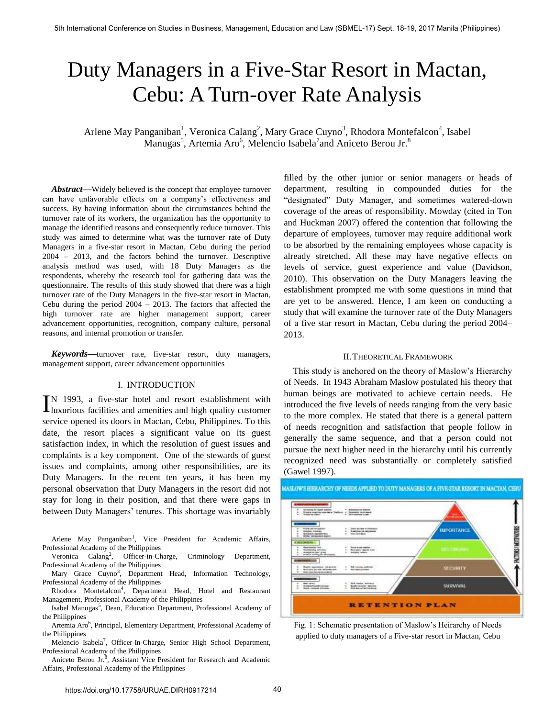# Duty Managers in a Five-Star Resort in Mactan, Cebu: A Turn-over Rate Analysis

Arlene May Panganiban<sup>1</sup>, Veronica Calang<sup>2</sup>, Mary Grace Cuyno<sup>3</sup>, Rhodora Montefalcon<sup>4</sup>, Isabel Manugas<sup>5</sup>, Artemia Aro<sup>6</sup>, Melencio Isabela<sup>7</sup>and Aniceto Berou Jr.<sup>8</sup>

*Abstract***—**Widely believed is the concept that employee turnover can have unfavorable effects on a company's effectiveness and success. By having information about the circumstances behind the turnover rate of its workers, the organization has the opportunity to manage the identified reasons and consequently reduce turnover. This study was aimed to determine what was the turnover rate of Duty Managers in a five-star resort in Mactan, Cebu during the period 2004 – 2013, and the factors behind the turnover. Descriptive analysis method was used, with 18 Duty Managers as the respondents, whereby the research tool for gathering data was the questionnaire. The results of this study showed that there was a high turnover rate of the Duty Managers in the five-star resort in Mactan, Cebu during the period 2004 – 2013. The factors that affected the high turnover rate are higher management support, career advancement opportunities, recognition, company culture, personal reasons, and internal promotion or transfer.

*Keywords***—**turnover rate, five-star resort, duty managers, management support, career advancement opportunities

## I. INTRODUCTION

N 1993, a five-star hotel and resort establishment with IN 1993, a five-star hotel and resort establishment with luxurious facilities and amenities and high quality customer service opened its doors in Mactan, Cebu, Philippines. To this date, the resort places a significant value on its guest satisfaction index, in which the resolution of guest issues and complaints is a key component. One of the stewards of guest issues and complaints, among other responsibilities, are its Duty Managers. In the recent ten years, it has been my personal observation that Duty Managers in the resort did not stay for long in their position, and that there were gaps in between Duty Managers' tenures. This shortage was invariably

Arlene May Panganiban<sup>1</sup>, Vice President for Academic Affairs, Professional Academy of the Philippines

Veronica Calang<sup>2</sup>, Officer-in-Charge, Criminology Department, Professional Academy of the Philippines

Mary Grace Cuyno<sup>3</sup>, Department Head, Information Technology, Professional Academy of the Philippines

Rhodora Montefalcon<sup>4</sup>, Department Head, Hotel and Restaurant Management, Professional Academy of the Philippines

Isabel Manugas<sup>5</sup>, Dean, Education Department, Professional Academy of the Philippines

Artemia Aro<sup>6</sup>, Principal, Elementary Department, Professional Academy of the Philippines

Melencio Isabela<sup>7</sup>, Officer-In-Charge, Senior High School Department, Professional Academy of the Philippines

Aniceto Berou Jr.<sup>8</sup>, Assistant Vice President for Research and Academic Affairs, Professional Academy of the Philippines

filled by the other junior or senior managers or heads of department, resulting in compounded duties for the "designated" Duty Manager, and sometimes watered-down coverage of the areas of responsibility. Mowday (cited in Ton and Huckman 2007) offered the contention that following the departure of employees, turnover may require additional work to be absorbed by the remaining employees whose capacity is already stretched. All these may have negative effects on levels of service, guest experience and value (Davidson, 2010). This observation on the Duty Managers leaving the establishment prompted me with some questions in mind that are yet to be answered. Hence, I am keen on conducting a study that will examine the turnover rate of the Duty Managers of a five star resort in Mactan, Cebu during the period 2004– 2013.

#### II.THEORETICAL FRAMEWORK

This study is anchored on the theory of Maslow's Hierarchy of Needs. In 1943 Abraham Maslow postulated his theory that human beings are motivated to achieve certain needs. He introduced the five levels of needs ranging from the very basic to the more complex. He stated that there is a general pattern of needs recognition and satisfaction that people follow in generally the same sequence, and that a person could not pursue the next higher need in the hierarchy until his currently recognized need was substantially or completely satisfied (Gawel 1997).

# MASLOW'S HIERARCHY OF NEEDS APPLIED TO DUTY MANAGERS OF A FIVE-STAR RESORT IN MACTAN, CEBU



Fig. 1: Schematic presentation of Maslow's Heirarchy of Needs applied to duty managers of a Five-star resort in Mactan, Cebu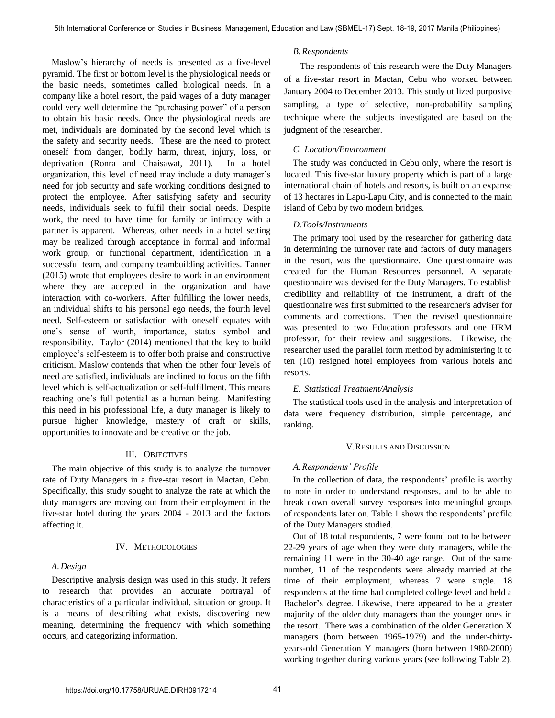Maslow's hierarchy of needs is presented as a five-level pyramid. The first or bottom level is the physiological needs or the basic needs, sometimes called biological needs. In a company like a hotel resort, the paid wages of a duty manager could very well determine the "purchasing power" of a person to obtain his basic needs. Once the physiological needs are met, individuals are dominated by the second level which is the safety and security needs. These are the need to protect oneself from danger, bodily harm, threat, injury, loss, or deprivation (Ronra and Chaisawat, 2011). In a hotel organization, this level of need may include a duty manager's need for job security and safe working conditions designed to protect the employee. After satisfying safety and security needs, individuals seek to fulfil their social needs. Despite work, the need to have time for family or intimacy with a partner is apparent. Whereas, other needs in a hotel setting may be realized through acceptance in formal and informal work group, or functional department, identification in a successful team, and company teambuilding activities. Tanner (2015) wrote that employees desire to work in an environment where they are accepted in the organization and have interaction with co-workers. After fulfilling the lower needs, an individual shifts to his personal ego needs, the fourth level need. Self-esteem or satisfaction with oneself equates with one's sense of worth, importance, status symbol and responsibility. Taylor (2014) mentioned that the key to build employee's self-esteem is to offer both praise and constructive criticism. Maslow contends that when the other four levels of need are satisfied, individuals are inclined to focus on the fifth level which is self-actualization or self-fulfillment. This means reaching one's full potential as a human being. Manifesting this need in his professional life, a duty manager is likely to pursue higher knowledge, mastery of craft or skills, opportunities to innovate and be creative on the job.

## III. OBJECTIVES

The main objective of this study is to analyze the turnover rate of Duty Managers in a five-star resort in Mactan, Cebu. Specifically, this study sought to analyze the rate at which the duty managers are moving out from their employment in the five-star hotel during the years 2004 - 2013 and the factors affecting it.

## IV. METHODOLOGIES

## *A.Design*

Descriptive analysis design was used in this study. It refers to research that provides an accurate portrayal of characteristics of a particular individual, situation or group. It is a means of describing what exists, discovering new meaning, determining the frequency with which something occurs, and categorizing information.

## *B.Respondents*

The respondents of this research were the Duty Managers of a five-star resort in Mactan, Cebu who worked between January 2004 to December 2013. This study utilized purposive sampling, a type of selective, non-probability sampling technique where the subjects investigated are based on the judgment of the researcher.

## *C. Location/Environment*

The study was conducted in Cebu only, where the resort is located. This five-star luxury property which is part of a large international chain of hotels and resorts, is built on an expanse of 13 hectares in Lapu-Lapu City, and is connected to the main island of Cebu by two modern bridges.

## *D.Tools/Instruments*

The primary tool used by the researcher for gathering data in determining the turnover rate and factors of duty managers in the resort, was the questionnaire. One questionnaire was created for the Human Resources personnel. A separate questionnaire was devised for the Duty Managers. To establish credibility and reliability of the instrument, a draft of the questionnaire was first submitted to the researcher's adviser for comments and corrections. Then the revised questionnaire was presented to two Education professors and one HRM professor, for their review and suggestions. Likewise, the researcher used the parallel form method by administering it to ten (10) resigned hotel employees from various hotels and resorts.

## *E. Statistical Treatment/Analysis*

The statistical tools used in the analysis and interpretation of data were frequency distribution, simple percentage, and ranking.

## V.RESULTS AND DISCUSSION

## *A.Respondents' Profile*

In the collection of data, the respondents' profile is worthy to note in order to understand responses, and to be able to break down overall survey responses into meaningful groups of respondents later on. Table 1 shows the respondents' profile of the Duty Managers studied.

Out of 18 total respondents, 7 were found out to be between 22-29 years of age when they were duty managers, while the remaining 11 were in the 30-40 age range. Out of the same number, 11 of the respondents were already married at the time of their employment, whereas 7 were single. 18 respondents at the time had completed college level and held a Bachelor's degree. Likewise, there appeared to be a greater majority of the older duty managers than the younger ones in the resort. There was a combination of the older Generation X managers (born between 1965-1979) and the under-thirtyyears-old Generation Y managers (born between 1980-2000) working together during various years (see following Table 2).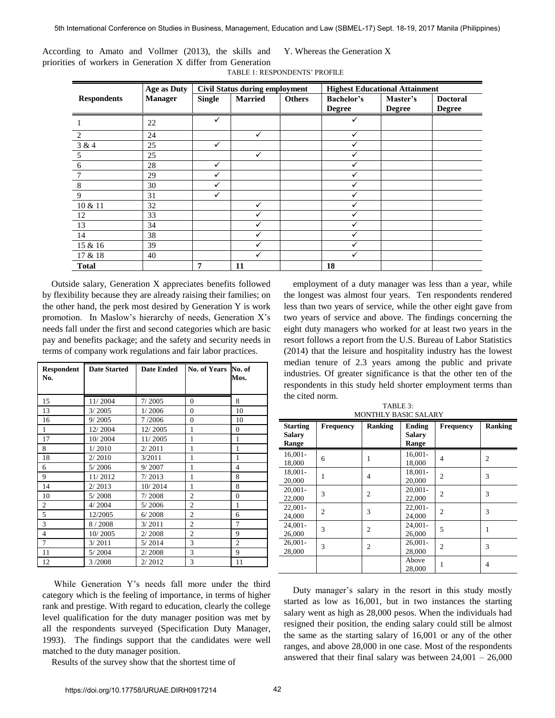|                                                              | According to Amato and Vollmer (2013), the skills and Y. Whereas the Generation X |
|--------------------------------------------------------------|-----------------------------------------------------------------------------------|
| priorities of workers in Generation X differ from Generation |                                                                                   |
|                                                              | TABLE 1: RESPONDENTS' PROFILE                                                     |

| Age as Duty        |                | <b>Civil Status during employment</b> |                |               | <b>Highest Educational Attainment</b> |                           |                                  |
|--------------------|----------------|---------------------------------------|----------------|---------------|---------------------------------------|---------------------------|----------------------------------|
| <b>Respondents</b> | <b>Manager</b> | <b>Single</b>                         | <b>Married</b> | <b>Others</b> | <b>Bachelor's</b><br><b>Degree</b>    | Master's<br><b>Degree</b> | <b>Doctoral</b><br><b>Degree</b> |
|                    | 22             | $\checkmark$                          |                |               | ✓                                     |                           |                                  |
| 2                  | 24             |                                       |                |               |                                       |                           |                                  |
| 3 & 4              | 25             | $\checkmark$                          |                |               |                                       |                           |                                  |
| 5                  | 25             |                                       |                |               |                                       |                           |                                  |
| 6                  | 28             | $\checkmark$                          |                |               |                                       |                           |                                  |
|                    | 29             | ✓                                     |                |               |                                       |                           |                                  |
| 8                  | 30             | $\checkmark$                          |                |               |                                       |                           |                                  |
| 9                  | 31             | $\checkmark$                          |                |               |                                       |                           |                                  |
| 10 & 11            | 32             |                                       | ✓              |               |                                       |                           |                                  |
| 12                 | 33             |                                       |                |               |                                       |                           |                                  |
| 13                 | 34             |                                       |                |               |                                       |                           |                                  |
| 14                 | 38             |                                       |                |               |                                       |                           |                                  |
| 15 & 16            | 39             |                                       |                |               |                                       |                           |                                  |
| 17 & 18            | 40             |                                       | ✓              |               | ✓                                     |                           |                                  |
| <b>Total</b>       |                | 7                                     | 11             |               | 18                                    |                           |                                  |

Outside salary, Generation X appreciates benefits followed by flexibility because they are already raising their families; on the other hand, the perk most desired by Generation Y is work promotion. In Maslow's hierarchy of needs, Generation X's needs fall under the first and second categories which are basic pay and benefits package; and the safety and security needs in terms of company work regulations and fair labor practices.

| <b>Respondent</b><br>No. | <b>Date Started</b> | <b>Date Ended</b> | <b>No. of Years</b> | No. of<br>Mos. |
|--------------------------|---------------------|-------------------|---------------------|----------------|
|                          |                     |                   |                     |                |
| 15                       | 11/2004             | 7/2005            | $\Omega$            | 8              |
| 13                       | 3/2005              | 1/2006            | $\overline{0}$      | 10             |
| 16                       | 9/2005              | 7/2006            | $\overline{0}$      | 10             |
| 1                        | 12/2004             | 12/2005           | 1                   | $\theta$       |
| 17                       | 10/2004             | 11/2005           | 1                   | 1              |
| 8                        | 1/2010              | 2/2011            | 1                   | $\mathbf{1}$   |
| 18                       | 2/2010              | 3/2011            | 1                   | 1              |
| 6                        | 5/2006              | 9/2007            | 1                   | $\overline{4}$ |
| 9                        | 11/2012             | 7/2013            | 1                   | 8              |
| 14                       | 2/2013              | 10/2014           | 1                   | 8              |
| 10                       | 5/2008              | 7/2008            | $\overline{2}$      | $\Omega$       |
| $\overline{c}$           | 4/2004              | 5/2006            | $\overline{c}$      | 1              |
| $\overline{5}$           | 12/2005             | 6/2008            | $\overline{2}$      | 6              |
| 3                        | 8/2008              | 3/2011            | $\overline{2}$      | 7              |
| $\overline{4}$           | 10/2005             | 2/2008            | $\overline{2}$      | 9              |
| $\overline{7}$           | 3/2011              | 5/2014            | 3                   | $\overline{c}$ |
| 11                       | 5/2004              | 2/2008            | 3                   | 9              |
| 12                       | 3/2008              | 2/2012            | 3                   | 11             |

While Generation Y's needs fall more under the third category which is the feeling of importance, in terms of higher rank and prestige. With regard to education, clearly the college level qualification for the duty manager position was met by all the respondents surveyed (Specification Duty Manager, 1993). The findings support that the candidates were well matched to the duty manager position.

Results of the survey show that the shortest time of

employment of a duty manager was less than a year, while the longest was almost four years. Ten respondents rendered less than two years of service, while the other eight gave from two years of service and above. The findings concerning the eight duty managers who worked for at least two years in the resort follows a report from the U.S. Bureau of Labor Statistics (2014) that the leisure and hospitality industry has the lowest median tenure of 2.3 years among the public and private industries. Of greater significance is that the other ten of the respondents in this study held shorter employment terms than the cited norm.

TABLE 3:

| <b>Starting</b><br><b>Salary</b><br>Range | <b>Frequency</b> | Ranking        | Ending<br>Salary<br>Range | <b>Frequency</b> | <b>Ranking</b> |
|-------------------------------------------|------------------|----------------|---------------------------|------------------|----------------|
| $16.001 -$<br>18,000                      | 6                |                | $16,001 -$<br>18,000      | 4                | 2              |
| 18,001-<br>20,000                         | 1                | 4              | 18,001-<br>20,000         | $\overline{2}$   | 3              |
| $20,001 -$<br>22,000                      | 3                | $\overline{2}$ | $20,001 -$<br>22,000      | $\overline{2}$   | 3              |
| $22,001 -$<br>24,000                      | $\overline{2}$   | 3              | $22,001 -$<br>24,000      | $\overline{2}$   | 3              |
| $24,001 -$<br>26,000                      | 3                | $\overline{2}$ | 24,001-<br>26,000         | 5                | 1              |
| $26,001 -$<br>28,000                      | 3                | 2              | $26,001 -$<br>28,000      | $\overline{c}$   | 3              |
|                                           |                  |                | Above<br>28,000           |                  | $\overline{4}$ |

Duty manager's salary in the resort in this study mostly started as low as 16,001, but in two instances the starting salary went as high as 28,000 pesos. When the individuals had resigned their position, the ending salary could still be almost the same as the starting salary of 16,001 or any of the other ranges, and above 28,000 in one case. Most of the respondents answered that their final salary was between  $24,001 - 26,000$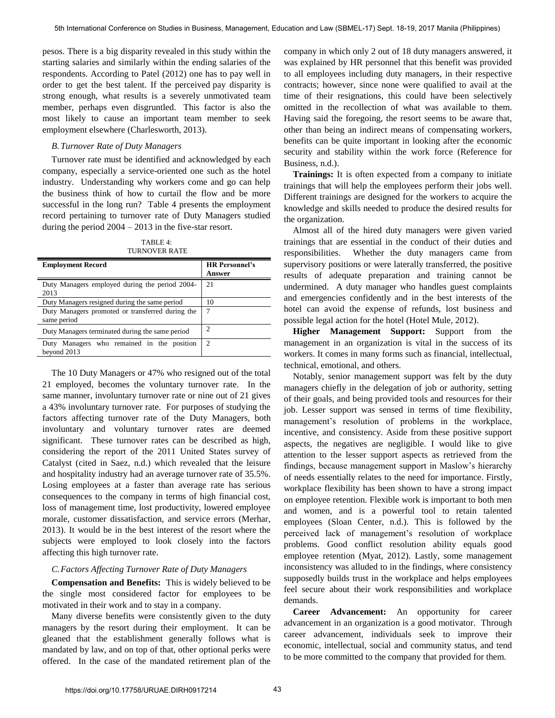pesos. There is a big disparity revealed in this study within the starting salaries and similarly within the ending salaries of the respondents. According to Patel (2012) one has to pay well in order to get the best talent. If the perceived pay disparity is strong enough, what results is a severely unmotivated team member, perhaps even disgruntled. This factor is also the most likely to cause an important team member to seek employment elsewhere (Charlesworth, 2013).

## *B.Turnover Rate of Duty Managers*

Turnover rate must be identified and acknowledged by each company, especially a service-oriented one such as the hotel industry. Understanding why workers come and go can help the business think of how to curtail the flow and be more successful in the long run? Table 4 presents the employment record pertaining to turnover rate of Duty Managers studied during the period 2004 – 2013 in the five-star resort.

| TABLE 4:             |
|----------------------|
| <b>TURNOVER RATE</b> |

| <b>Employment Record</b>                                        | <b>HR Personnel's</b><br><b>Answer</b> |
|-----------------------------------------------------------------|----------------------------------------|
| Duty Managers employed during the period 2004-<br>2013          | 21                                     |
| Duty Managers resigned during the same period                   | 10                                     |
| Duty Managers promoted or transferred during the<br>same period | 7                                      |
| Duty Managers terminated during the same period                 | ာ                                      |
| Duty Managers who remained in the position<br>beyond 2013       | $\overline{c}$                         |

The 10 Duty Managers or 47% who resigned out of the total 21 employed, becomes the voluntary turnover rate. In the same manner, involuntary turnover rate or nine out of 21 gives a 43% involuntary turnover rate. For purposes of studying the factors affecting turnover rate of the Duty Managers, both involuntary and voluntary turnover rates are deemed significant. These turnover rates can be described as high, considering the report of the 2011 United States survey of Catalyst (cited in Saez, n.d.) which revealed that the leisure and hospitality industry had an average turnover rate of 35.5%. Losing employees at a faster than average rate has serious consequences to the company in terms of high financial cost, loss of management time, lost productivity, lowered employee morale, customer dissatisfaction, and service errors (Merhar, 2013). It would be in the best interest of the resort where the subjects were employed to look closely into the factors affecting this high turnover rate.

#### *C.Factors Affecting Turnover Rate of Duty Managers*

**Compensation and Benefits:** This is widely believed to be the single most considered factor for employees to be motivated in their work and to stay in a company.

Many diverse benefits were consistently given to the duty managers by the resort during their employment. It can be gleaned that the establishment generally follows what is mandated by law, and on top of that, other optional perks were offered. In the case of the mandated retirement plan of the company in which only 2 out of 18 duty managers answered, it was explained by HR personnel that this benefit was provided to all employees including duty managers, in their respective contracts; however, since none were qualified to avail at the time of their resignations, this could have been selectively omitted in the recollection of what was available to them. Having said the foregoing, the resort seems to be aware that, other than being an indirect means of compensating workers, benefits can be quite important in looking after the economic security and stability within the work force (Reference for Business, n.d.).

**Trainings:** It is often expected from a company to initiate trainings that will help the employees perform their jobs well. Different trainings are designed for the workers to acquire the knowledge and skills needed to produce the desired results for the organization.

Almost all of the hired duty managers were given varied trainings that are essential in the conduct of their duties and responsibilities. Whether the duty managers came from supervisory positions or were laterally transferred, the positive results of adequate preparation and training cannot be undermined. A duty manager who handles guest complaints and emergencies confidently and in the best interests of the hotel can avoid the expense of refunds, lost business and possible legal action for the hotel (Hotel Mule, 2012).

**Higher Management Support:** Support from the management in an organization is vital in the success of its workers. It comes in many forms such as financial, intellectual, technical, emotional, and others.

Notably, senior management support was felt by the duty managers chiefly in the delegation of job or authority, setting of their goals, and being provided tools and resources for their job. Lesser support was sensed in terms of time flexibility, management's resolution of problems in the workplace, incentive, and consistency. Aside from these positive support aspects, the negatives are negligible. I would like to give attention to the lesser support aspects as retrieved from the findings, because management support in Maslow's hierarchy of needs essentially relates to the need for importance. Firstly, workplace flexibility has been shown to have a strong impact on employee retention. Flexible work is important to both men and women, and is a powerful tool to retain talented employees (Sloan Center, n.d.). This is followed by the perceived lack of management's resolution of workplace problems. Good conflict resolution ability equals good employee retention (Myat, 2012). Lastly, some management inconsistency was alluded to in the findings, where consistency supposedly builds trust in the workplace and helps employees feel secure about their work responsibilities and workplace demands.

**Career Advancement:** An opportunity for career advancement in an organization is a good motivator. Through career advancement, individuals seek to improve their economic, intellectual, social and community status, and tend to be more committed to the company that provided for them.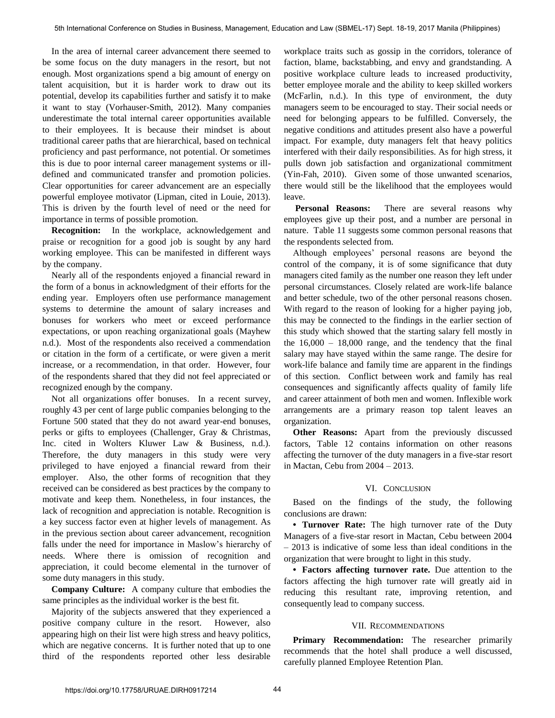In the area of internal career advancement there seemed to be some focus on the duty managers in the resort, but not enough. Most organizations spend a big amount of energy on talent acquisition, but it is harder work to draw out its potential, develop its capabilities further and satisfy it to make it want to stay (Vorhauser-Smith, 2012). Many companies underestimate the total internal career opportunities available to their employees. It is because their mindset is about traditional career paths that are hierarchical, based on technical proficiency and past performance, not potential. Or sometimes this is due to poor internal career management systems or illdefined and communicated transfer and promotion policies. Clear opportunities for career advancement are an especially powerful employee motivator (Lipman, cited in Louie, 2013). This is driven by the fourth level of need or the need for importance in terms of possible promotion.

**Recognition:** In the workplace, acknowledgement and praise or recognition for a good job is sought by any hard working employee. This can be manifested in different ways by the company.

Nearly all of the respondents enjoyed a financial reward in the form of a bonus in acknowledgment of their efforts for the ending year. Employers often use performance management systems to determine the amount of salary increases and bonuses for workers who meet or exceed performance expectations, or upon reaching organizational goals (Mayhew n.d.). Most of the respondents also received a commendation or citation in the form of a certificate, or were given a merit increase, or a recommendation, in that order. However, four of the respondents shared that they did not feel appreciated or recognized enough by the company.

Not all organizations offer bonuses. In a recent survey, roughly 43 per cent of large public companies belonging to the Fortune 500 stated that they do not award year-end bonuses, perks or gifts to employees (Challenger, Gray & Christmas, Inc. cited in Wolters Kluwer Law & Business, n.d.). Therefore, the duty managers in this study were very privileged to have enjoyed a financial reward from their employer. Also, the other forms of recognition that they received can be considered as best practices by the company to motivate and keep them. Nonetheless, in four instances, the lack of recognition and appreciation is notable. Recognition is a key success factor even at higher levels of management. As in the previous section about career advancement, recognition falls under the need for importance in Maslow's hierarchy of needs. Where there is omission of recognition and appreciation, it could become elemental in the turnover of some duty managers in this study.

**Company Culture:** A company culture that embodies the same principles as the individual worker is the best fit.

Majority of the subjects answered that they experienced a positive company culture in the resort. However, also appearing high on their list were high stress and heavy politics, which are negative concerns. It is further noted that up to one third of the respondents reported other less desirable workplace traits such as gossip in the corridors, tolerance of faction, blame, backstabbing, and envy and grandstanding. A positive workplace culture leads to increased productivity, better employee morale and the ability to keep skilled workers (McFarlin, n.d.). In this type of environment, the duty managers seem to be encouraged to stay. Their social needs or need for belonging appears to be fulfilled. Conversely, the negative conditions and attitudes present also have a powerful impact. For example, duty managers felt that heavy politics interfered with their daily responsibilities. As for high stress, it pulls down job satisfaction and organizational commitment (Yin-Fah, 2010). Given some of those unwanted scenarios, there would still be the likelihood that the employees would leave.

**Personal Reasons:** There are several reasons why employees give up their post, and a number are personal in nature. Table 11 suggests some common personal reasons that the respondents selected from.

Although employees' personal reasons are beyond the control of the company, it is of some significance that duty managers cited family as the number one reason they left under personal circumstances. Closely related are work-life balance and better schedule, two of the other personal reasons chosen. With regard to the reason of looking for a higher paying job, this may be connected to the findings in the earlier section of this study which showed that the starting salary fell mostly in the  $16,000 - 18,000$  range, and the tendency that the final salary may have stayed within the same range. The desire for work-life balance and family time are apparent in the findings of this section. Conflict between work and family has real consequences and significantly affects quality of family life and career attainment of both men and women. Inflexible work arrangements are a primary reason top talent leaves an organization.

**Other Reasons:** Apart from the previously discussed factors, Table 12 contains information on other reasons affecting the turnover of the duty managers in a five-star resort in Mactan, Cebu from 2004 – 2013.

## VI. CONCLUSION

Based on the findings of the study, the following conclusions are drawn:

**• Turnover Rate:** The high turnover rate of the Duty Managers of a five-star resort in Mactan, Cebu between 2004 – 2013 is indicative of some less than ideal conditions in the organization that were brought to light in this study.

**• Factors affecting turnover rate.** Due attention to the factors affecting the high turnover rate will greatly aid in reducing this resultant rate, improving retention, and consequently lead to company success.

#### VII. RECOMMENDATIONS

**Primary Recommendation:** The researcher primarily recommends that the hotel shall produce a well discussed, carefully planned Employee Retention Plan.